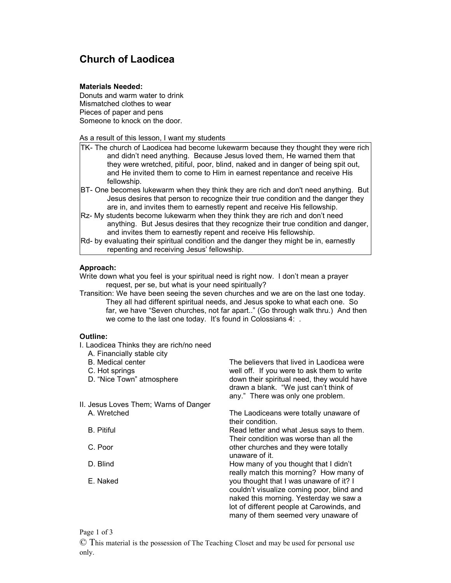# **Church of Laodicea**

## **Materials Needed:**

Donuts and warm water to drink Mismatched clothes to wear Pieces of paper and pens Someone to knock on the door.

As a result of this lesson, I want my students

- TK- The church of Laodicea had become lukewarm because they thought they were rich and didn't need anything. Because Jesus loved them, He warned them that they were wretched, pitiful, poor, blind, naked and in danger of being spit out, and He invited them to come to Him in earnest repentance and receive His fellowship.
- BT- One becomes lukewarm when they think they are rich and don't need anything. But Jesus desires that person to recognize their true condition and the danger they are in, and invites them to earnestly repent and receive His fellowship.
- Rz- My students become lukewarm when they think they are rich and don't need anything. But Jesus desires that they recognize their true condition and danger, and invites them to earnestly repent and receive His fellowship.
- Rd- by evaluating their spiritual condition and the danger they might be in, earnestly repenting and receiving Jesus' fellowship.

## **Approach:**

Write down what you feel is your spiritual need is right now. I don't mean a prayer request, per se, but what is your need spiritually?

Transition: We have been seeing the seven churches and we are on the last one today. They all had different spiritual needs, and Jesus spoke to what each one. So far, we have "Seven churches, not far apart.." (Go through walk thru.) And then we come to the last one today. It's found in Colossians 4: .

## **Outline:**

- I. Laodicea Thinks they are rich/no need
	- A. Financially stable city
	- B. Medical center
	- C. Hot springs
	- D. "Nice Town" atmosphere
- II. Jesus Loves Them; Warns of Danger A. Wretched
	- B. Pitiful
	- C. Poor
	- D. Blind
	- E. Naked

The believers that lived in Laodicea were well off. If you were to ask them to write down their spiritual need, they would have drawn a blank. "We just can't think of any." There was only one problem.

The Laodiceans were totally unaware of their condition.

Read letter and what Jesus says to them. Their condition was worse than all the other churches and they were totally unaware of it. How many of you thought that I didn't

really match this morning? How many of you thought that I was unaware of it? I couldn't visualize coming poor, blind and naked this morning. Yesterday we saw a lot of different people at Carowinds, and many of them seemed very unaware of

### Page 1 of 3

© This material is the possession of The Teaching Closet and may be used for personal use only.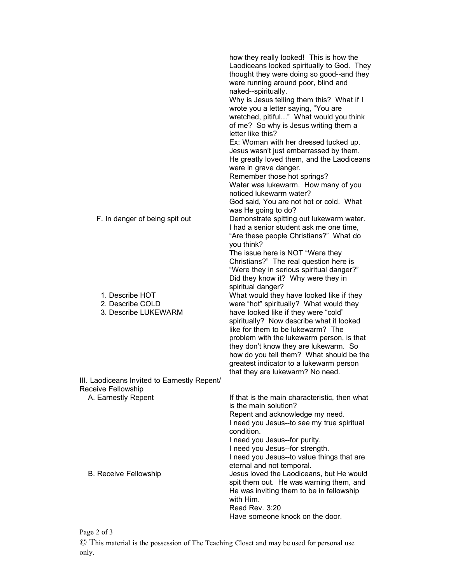|                                                                    | how they really looked! This is how the<br>Laodiceans looked spiritually to God. They<br>thought they were doing so good--and they<br>were running around poor, blind and<br>naked--spiritually. |
|--------------------------------------------------------------------|--------------------------------------------------------------------------------------------------------------------------------------------------------------------------------------------------|
|                                                                    | Why is Jesus telling them this? What if I<br>wrote you a letter saying, "You are<br>wretched, pitiful" What would you think<br>of me? So why is Jesus writing them a                             |
|                                                                    | letter like this?                                                                                                                                                                                |
|                                                                    | Ex: Woman with her dressed tucked up.                                                                                                                                                            |
|                                                                    | Jesus wasn't just embarrassed by them.<br>He greatly loved them, and the Laodiceans                                                                                                              |
|                                                                    | were in grave danger.                                                                                                                                                                            |
|                                                                    | Remember those hot springs?<br>Water was lukewarm. How many of you                                                                                                                               |
|                                                                    | noticed lukewarm water?                                                                                                                                                                          |
|                                                                    | God said, You are not hot or cold. What<br>was He going to do?                                                                                                                                   |
| F. In danger of being spit out                                     | Demonstrate spitting out lukewarm water.<br>I had a senior student ask me one time,                                                                                                              |
|                                                                    | "Are these people Christians?" What do<br>you think?                                                                                                                                             |
|                                                                    | The issue here is NOT "Were they                                                                                                                                                                 |
|                                                                    | Christians?" The real question here is<br>"Were they in serious spiritual danger?"                                                                                                               |
|                                                                    | Did they know it? Why were they in<br>spiritual danger?                                                                                                                                          |
| 1. Describe HOT                                                    | What would they have looked like if they                                                                                                                                                         |
| 2. Describe COLD                                                   | were "hot" spiritually? What would they                                                                                                                                                          |
| 3. Describe LUKEWARM                                               | have looked like if they were "cold"<br>spiritually? Now describe what it looked<br>like for them to be lukewarm? The                                                                            |
|                                                                    | problem with the lukewarm person, is that                                                                                                                                                        |
|                                                                    | they don't know they are lukewarm. So                                                                                                                                                            |
|                                                                    | how do you tell them? What should be the                                                                                                                                                         |
|                                                                    | greatest indicator to a lukewarm person                                                                                                                                                          |
|                                                                    | that they are lukewarm? No need.                                                                                                                                                                 |
| III. Laodiceans Invited to Earnestly Repent/<br>Receive Fellowship |                                                                                                                                                                                                  |
| A. Earnestly Repent                                                | If that is the main characteristic, then what<br>is the main solution?                                                                                                                           |
|                                                                    | Repent and acknowledge my need.<br>I need you Jesus--to see my true spiritual<br>condition.                                                                                                      |
|                                                                    | I need you Jesus--for purity.                                                                                                                                                                    |
|                                                                    | I need you Jesus--for strength.                                                                                                                                                                  |
|                                                                    | I need you Jesus--to value things that are<br>eternal and not temporal.                                                                                                                          |
| <b>B. Receive Fellowship</b>                                       | Jesus loved the Laodiceans, but He would                                                                                                                                                         |
|                                                                    | spit them out. He was warning them, and<br>He was inviting them to be in fellowship<br>with Him.                                                                                                 |
|                                                                    | Read Rev. 3:20                                                                                                                                                                                   |
|                                                                    | Have someone knock on the door.                                                                                                                                                                  |

Page 2 of 3

© This material is the possession of The Teaching Closet and may be used for personal use only.